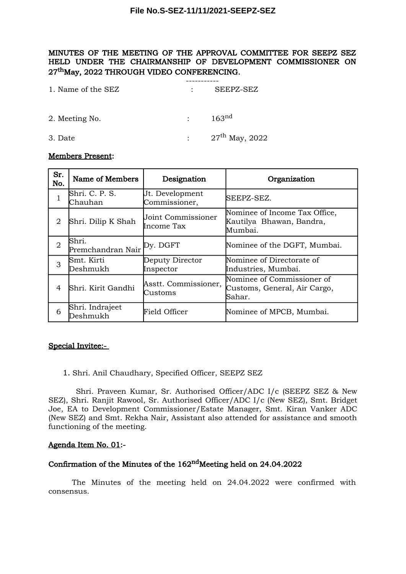### **File No.S-SEZ-11/11/2021-SEEPZ-SEZ**

### MINUTES OF THE MEETING OF THE APPROVAL COMMITTEE FOR SEEPZ SEZ HELD UNDER THE CHAIRMANSHIP OF DEVELOPMENT COMMISSIONER ON 27thMay, 2022 THROUGH VIDEO CONFERENCING.

| 1. Name of the SEZ |                                                                 | SEEPZ-SEZ         |
|--------------------|-----------------------------------------------------------------|-------------------|
| 2. Meeting No.     | $\bullet$ .<br><br><br><br><br><br><br><br><br><br><br><br><br> | 163 <sup>nd</sup> |

3. Date :  $27^{th}$  May, 2022

#### Members Present:

| Sr.<br>No.     | Name of Members                     | Designation                             | Organization                                                         |
|----------------|-------------------------------------|-----------------------------------------|----------------------------------------------------------------------|
| 1              | Shri. C. P. S.<br>Chauhan           | Ut. Development<br>Commissioner,        | SEEPZ-SEZ.                                                           |
| 2              | Shri. Dilip K Shah                  | <b>Joint Commissioner</b><br>Income Tax | Nominee of Income Tax Office,<br>Kautilya Bhawan, Bandra,<br>Mumbai. |
| $\overline{2}$ | Shri.<br>Premchandran Nair Py. DGFT |                                         | Nominee of the DGFT, Mumbai.                                         |
| 3              | Smt. Kirti<br>Deshmukh              | Deputy Director<br>Inspector            | Nominee of Directorate of<br>Industries, Mumbai.                     |
| 4              | Shri. Kirit Gandhi                  | Asstt. Commissioner,<br>Customs         | Nominee of Commissioner of<br>Customs, General, Air Cargo,<br>Sahar. |
| 6              | Shri. Indrajeet<br>Deshmukh         | Field Officer                           | Nominee of MPCB, Mumbai.                                             |

### Special Invitee:-

1. Shri. Anil Chaudhary, Specified Officer, SEEPZ SEZ

Shri. Praveen Kumar, Sr. Authorised Officer/ADC I/c (SEEPZ SEZ & New SEZ), Shri. Ranjit Rawool, Sr. Authorised Officer/ADC I/c (New SEZ), Smt. Bridget Joe, EA to Development Commissioner/Estate Manager, Smt. Kiran Vanker ADC (New SEZ) and Smt. Rekha Nair, Assistant also attended for assistance and smooth functioning of the meeting.

#### Agenda Item No. 01:-

## Confirmation of the Minutes of the 162<sup>nd</sup>Meeting held on 24.04.2022

The Minutes of the meeting held on 24.04.2022 were confirmed with consensus.